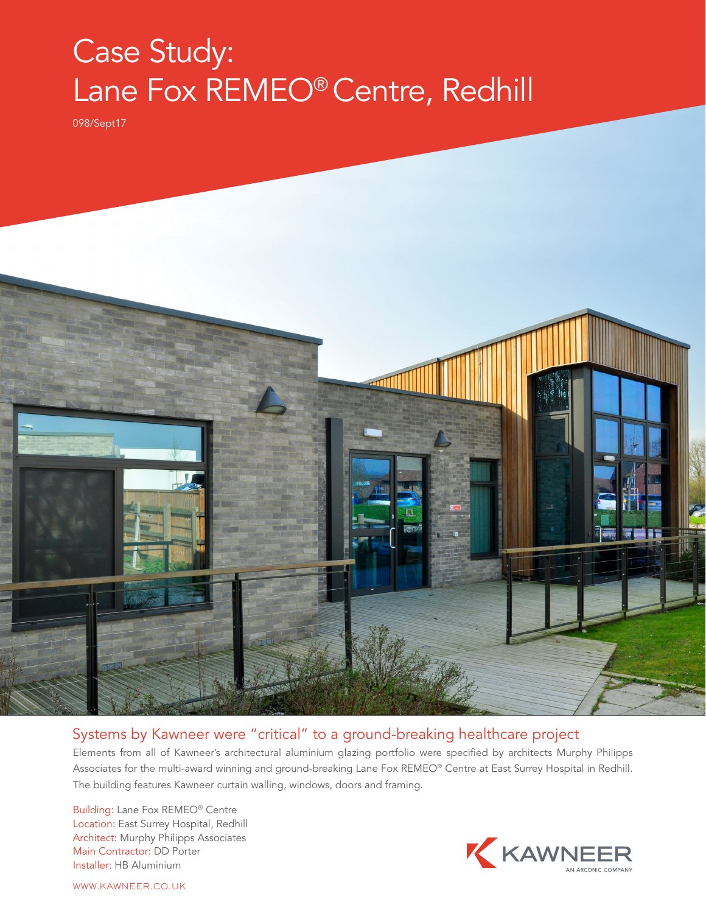## Case Study: Lane Fox REMEO® Centre, Redhill

098/Sept17



## Systems by Kawneer were "critical" to a ground-breaking healthcare project

Elements from all of Kawneer's architectural aluminium glazing portfolio were specified by architects Murphy Philipps Associates for the multi-award winning and ground-breaking Lane Fox REMEO® Centre at East Surrey Hospital in Redhill. The building features Kawneer curtain walling, windows, doors and framing.

Building: Lane Fox REMEO® Centre Location: East Surrey Hospital, Redhill Architect: Murphy Philipps Associates Main Contractor: DD Porter Installer: HB Aluminium



WWW.KAWNEER.CO.UK